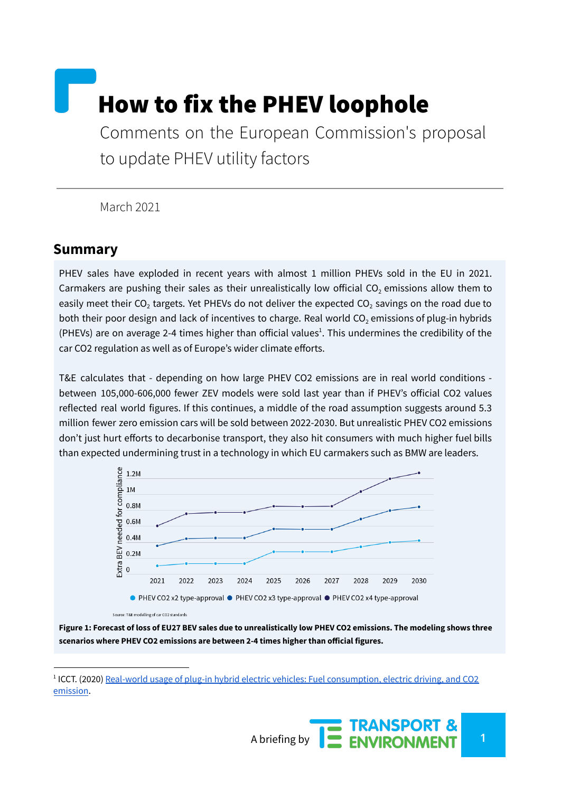# How to fix the PHEV loophole

Comments on the European Commission's proposal to update PHEV utility factors

March 2021

### **Summary**

PHEV sales have exploded in recent years with almost 1 million PHEVs sold in the EU in 2021. Carmakers are pushing their sales as their unrealistically low official  $CO<sub>2</sub>$  emissions allow them to easily meet their CO<sub>2</sub> targets. Yet PHEVs do not deliver the expected CO<sub>2</sub> savings on the road due to both their poor design and lack of incentives to charge. Real world  $CO<sub>2</sub>$  emissions of plug-in hybrids (PHEVs) are on average 2-4 times higher than official values<sup>1</sup>. This undermines the credibility of the car CO2 regulation as well as of Europe's wider climate efforts.

T&E calculates that - depending on how large PHEV CO2 emissions are in real world conditions between 105,000-606,000 fewer ZEV models were sold last year than if PHEV's official CO2 values reflected real world figures. If this continues, a middle of the road assumption suggests around 5.3 million fewer zero emission cars will be sold between 2022-2030. But unrealistic PHEV CO2 emissions don't just hurt efforts to decarbonise transport, they also hit consumers with much higher fuel bills than expected undermining trust in a technology in which EU carmakers such as BMW are leaders.



Figure 1: Forecast of loss of EU27 BEV sales due to unrealistically low PHEV CO2 emissions. The modeling shows three **scenarios where PHEV CO2 emissions are between 2-4 times higher than official figures.**

<sup>&</sup>lt;sup>1</sup> ICCT. (2020) <u>Real-world usage of plug-in hybrid electric vehicles: Fuel [consumption,](https://theicct.org/publications/phev-real-world-usage-sept2020) electric driving, and CO2</u> [emission](https://theicct.org/publications/phev-real-world-usage-sept2020).

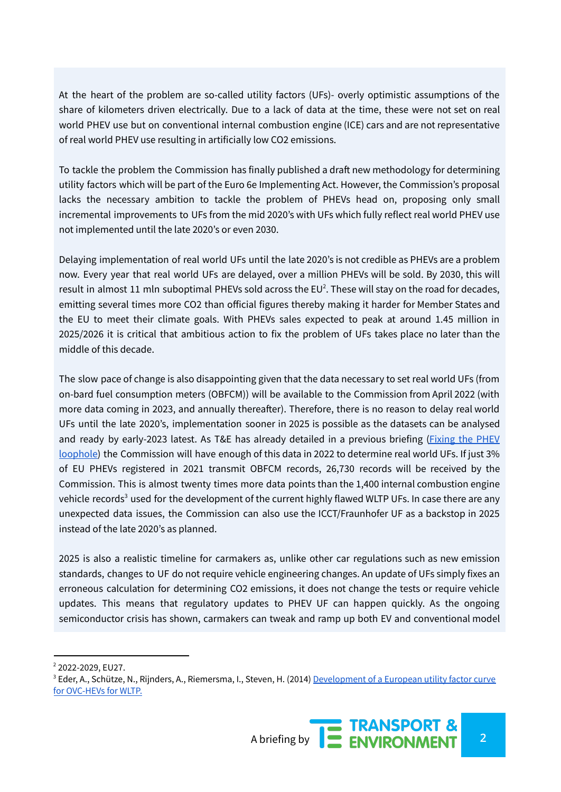At the heart of the problem are so-called utility factors (UFs)- overly optimistic assumptions of the share of kilometers driven electrically. Due to a lack of data at the time, these were not set on real world PHEV use but on conventional internal combustion engine (ICE) cars and are not representative of real world PHEV use resulting in artificially low CO2 emissions.

To tackle the problem the Commission has finally published a draft new methodology for determining utility factors which will be part of the Euro 6e Implementing Act. However, the Commission's proposal lacks the necessary ambition to tackle the problem of PHEVs head on, proposing only small incremental improvements to UFs from the mid 2020's with UFs which fully reflect real world PHEV use not implemented until the late 2020's or even 2030.

Delaying implementation of real world UFs until the late 2020's is not credible as PHEVs are a problem now. Every year that real world UFs are delayed, over a million PHEVs will be sold. By 2030, this will result in almost 11 mln suboptimal PHEVs sold across the EU<sup>2</sup>. These will stay on the road for decades, emitting several times more CO2 than official figures thereby making it harder for Member States and the EU to meet their climate goals. With PHEVs sales expected to peak at around 1.45 million in 2025/2026 it is critical that ambitious action to fix the problem of UFs takes place no later than the middle of this decade.

The slow pace of change is also disappointing given that the data necessary to set real world UFs (from on-bard fuel consumption meters (OBFCM)) will be available to the Commission from April 2022 (with more data coming in 2023, and annually thereafter). Therefore, there is no reason to delay real world UFs until the late 2020's, implementation sooner in 2025 is possible as the datasets can be analysed and ready by early-2023 latest. As T&E has already detailed in a previous briefing [\(Fixing](https://www.transportenvironment.org/discover/fixing-the-phev-loophole/) the PHEV [loophole\)](https://www.transportenvironment.org/discover/fixing-the-phev-loophole/) the Commission will have enough of this data in 2022 to determine real world UFs. If just 3% of EU PHEVs registered in 2021 transmit OBFCM records, 26,730 records will be received by the Commission. This is almost twenty times more data points than the 1,400 internal combustion engine vehicle records<sup>3</sup> used for the development of the current highly flawed WLTP UFs. In case there are any unexpected data issues, the Commission can also use the ICCT/Fraunhofer UF as a backstop in 2025 instead of the late 2020's as planned.

2025 is also a realistic timeline for carmakers as, unlike other car regulations such as new emission standards, changes to UF do not require vehicle engineering changes. An update of UFs simply fixes an erroneous calculation for determining CO2 emissions, it does not change the tests or require vehicle updates. This means that regulatory updates to PHEV UF can happen quickly. As the ongoing semiconductor crisis has shown, carmakers can tweak and ramp up both EV and conventional model

<sup>&</sup>lt;sup>3</sup> Eder, A., Schütze, N., Rijnders, A., Riemersma, I., Steven, H. (2014) [Development](https://www.semanticscholar.org/paper/Development-of-a-European-Utility-Factor-Curve-for-Eder-Sch%C3%BCtze/43c14fdcc241d8f50084ce4bf80cc336ed9bf07b) of a European utility factor curve for [OVC-HEVs](https://www.semanticscholar.org/paper/Development-of-a-European-Utility-Factor-Curve-for-Eder-Sch%C3%BCtze/43c14fdcc241d8f50084ce4bf80cc336ed9bf07b) for WLTP.



<sup>&</sup>lt;sup>2</sup> 2022-2029, EU27.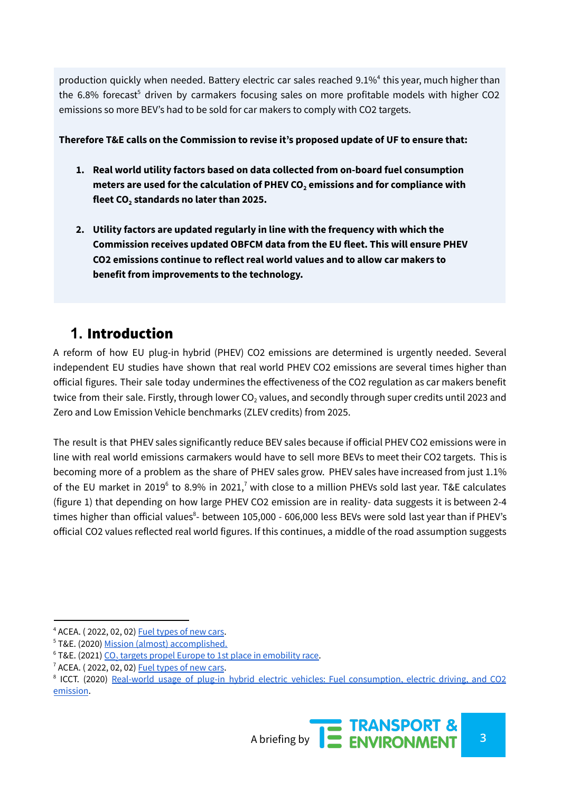production quickly when needed. Battery electric car sales reached 9.1%<sup>4</sup> this year, much higher than the 6.8% forecast<sup>5</sup> driven by carmakers focusing sales on more profitable models with higher CO2 emissions so more BEV's had to be sold for car makers to comply with CO2 targets.

#### **Therefore T&E calls on the Commission to revise it's proposed update of UF to ensure that:**

- **1. Real world utility factors based on data collected from on-board fuel consumption meters are used for the calculation of PHEV CO<sup>2</sup> emissions and for compliance with fleet CO<sup>2</sup> standards no later than 2025.**
- **2. Utility factors are updated regularly in line with the frequency with which the Commission receives updated OBFCM data from the EU fleet. This will ensure PHEV CO2 emissions continue to reflect real world values and to allow car makers to benefit from improvements to the technology.**

# **1.** Introduction

A reform of how EU plug-in hybrid (PHEV) CO2 emissions are determined is urgently needed. Several independent EU studies have shown that real world PHEV CO2 emissions are several times higher than official figures. Their sale today undermines the effectiveness of the CO2 regulation as car makers benefit twice from their sale. Firstly, through lower  $CO<sub>2</sub>$  values, and secondly through super credits until 2023 and Zero and Low Emission Vehicle benchmarks (ZLEV credits) from 2025.

The result is that PHEV sales significantly reduce BEV sales because if official PHEV CO2 emissions were in line with real world emissions carmakers would have to sell more BEVs to meet their CO2 targets. This is becoming more of a problem as the share of PHEV sales grow. PHEV sales have increased from just 1.1% of the EU market in 2019<sup>6</sup> to 8.9% in 2021,<sup>7</sup> with close to a million PHEVs sold last year. T&E calculates (figure 1) that depending on how large PHEV CO2 emission are in reality- data suggests it is between 2-4 times higher than official values<sup>8</sup>- between 105,000 - 606,000 less BEVs were sold last year than if PHEV's official CO2 values reflected real world figures. If this continues, a middle of the road assumption suggests

<sup>4</sup> ACEA. ( 2022, 02, 02) Fuel [types](https://www.acea.auto/fuel-pc/fuel-types-of-new-cars-battery-electric-9-1-hybrid-19-6-and-petrol-40-0-market-share-full-year-2021/) of new cars.

<sup>5</sup> T&E. (2020) Mission (almost) [accomplished.](https://www.transportenvironment.org/wp-content/uploads/2021/05/2020_10_TE_Car_CO2_report_final-1.pdf)

 $6$  T&E. (2021) CO<sub>2</sub> targets propel Europe to 1st place in [emobility](https://www.transportenvironment.org/wp-content/uploads/2021/07/2020%20EV%20sales%20briefing.pdf) race.

 $7$  ACEA. (2022, 02, 02) Fuel [types](https://www.acea.auto/fuel-pc/fuel-types-of-new-cars-battery-electric-9-1-hybrid-19-6-and-petrol-40-0-market-share-full-year-2021/) of new cars.

<sup>&</sup>lt;sup>8</sup> ICCT. (2020) Real-world usage of plug-in hybrid electric vehicles: Fuel [consumption,](https://theicct.org/publications/phev-real-world-usage-sept2020) electric driving, and CO2 [emission](https://theicct.org/publications/phev-real-world-usage-sept2020).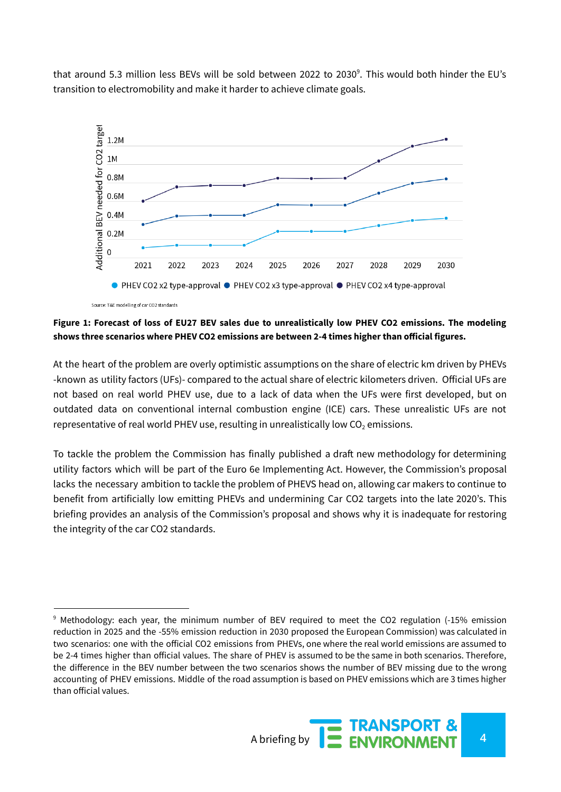that around 5.3 million less BEVs will be sold between 2022 to 2030<sup>9</sup>. This would both hinder the EU's transition to electromobility and make it harder to achieve climate goals.



Figure 1: Forecast of loss of EU27 BEV sales due to unrealistically low PHEV CO2 emissions. The modeling **shows three scenarios where PHEV CO2 emissions are between 2-4 times higher than official figures.**

At the heart of the problem are overly optimistic assumptions on the share of electric km driven by PHEVs -known as utility factors (UFs)- compared to the actual share of electric kilometers driven. Official UFs are not based on real world PHEV use, due to a lack of data when the UFs were first developed, but on outdated data on conventional internal combustion engine (ICE) cars. These unrealistic UFs are not representative of real world PHEV use, resulting in unrealistically low  $CO<sub>2</sub>$  emissions.

To tackle the problem the Commission has finally published a draft new methodology for determining utility factors which will be part of the Euro 6e Implementing Act. However, the Commission's proposal lacks the necessary ambition to tackle the problem of PHEVS head on, allowing car makers to continue to benefit from artificially low emitting PHEVs and undermining Car CO2 targets into the late 2020's. This briefing provides an analysis of the Commission's proposal and shows why it is inadequate for restoring the integrity of the car CO2 standards.

<sup>&</sup>lt;sup>9</sup> Methodology: each year, the minimum number of BEV required to meet the CO2 regulation (-15% emission reduction in 2025 and the -55% emission reduction in 2030 proposed the European Commission) was calculated in two scenarios: one with the official CO2 emissions from PHEVs, one where the real world emissions are assumed to be 2-4 times higher than official values. The share of PHEV is assumed to be the same in both scenarios. Therefore, the difference in the BEV number between the two scenarios shows the number of BEV missing due to the wrong accounting of PHEV emissions. Middle of the road assumption is based on PHEV emissions which are 3 times higher than official values.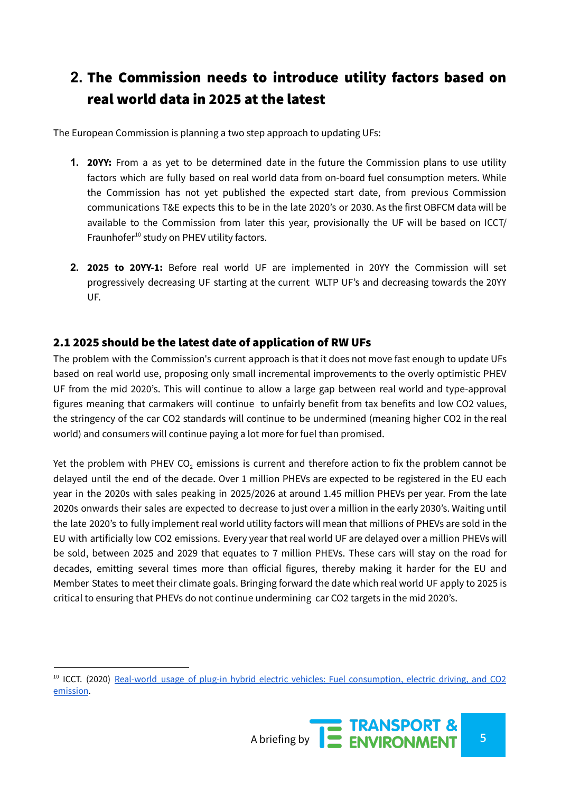# **2.** The Commission needs to introduce utility factors based on real world data in 2025 at the latest

The European Commission is planning a two step approach to updating UFs:

- **1. 20YY:** From a as yet to be determined date in the future the Commission plans to use utility factors which are fully based on real world data from on-board fuel consumption meters. While the Commission has not yet published the expected start date, from previous Commission communications T&E expects this to be in the late 2020's or 2030. As the first OBFCM data will be available to the Commission from later this year, provisionally the UF will be based on ICCT/ Fraunhofer<sup>10</sup> study on PHEV utility factors.
- **2. 2025 to 20YY-1:** Before real world UF are implemented in 20YY the Commission will set progressively decreasing UF starting at the current WLTP UF's and decreasing towards the 20YY UF.

#### 2.1 2025 should be the latest date of application of RW UFs

The problem with the Commission's current approach is that it does not move fast enough to update UFs based on real world use, proposing only small incremental improvements to the overly optimistic PHEV UF from the mid 2020's. This will continue to allow a large gap between real world and type-approval figures meaning that carmakers will continue to unfairly benefit from tax benefits and low CO2 values, the stringency of the car CO2 standards will continue to be undermined (meaning higher CO2 in the real world) and consumers will continue paying a lot more for fuel than promised.

Yet the problem with PHEV CO<sub>2</sub> emissions is current and therefore action to fix the problem cannot be delayed until the end of the decade. Over 1 million PHEVs are expected to be registered in the EU each year in the 2020s with sales peaking in 2025/2026 at around 1.45 million PHEVs per year. From the late 2020s onwards their sales are expected to decrease to just over a million in the early 2030's. Waiting until the late 2020's to fully implement real world utility factors will mean that millions of PHEVs are sold in the EU with artificially low CO2 emissions. Every year that real world UF are delayed over a million PHEVs will be sold, between 2025 and 2029 that equates to 7 million PHEVs. These cars will stay on the road for decades, emitting several times more than official figures, thereby making it harder for the EU and Member States to meet their climate goals. Bringing forward the date which real world UF apply to 2025 is critical to ensuring that PHEVs do not continue undermining car CO2 targets in the mid 2020's.

<sup>&</sup>lt;sup>10</sup> ICCT. (2020) Real-world usage of plug-in hybrid electric vehicles: Fuel [consumption,](https://theicct.org/publications/phev-real-world-usage-sept2020) electric driving, and CO2 [emission](https://theicct.org/publications/phev-real-world-usage-sept2020).

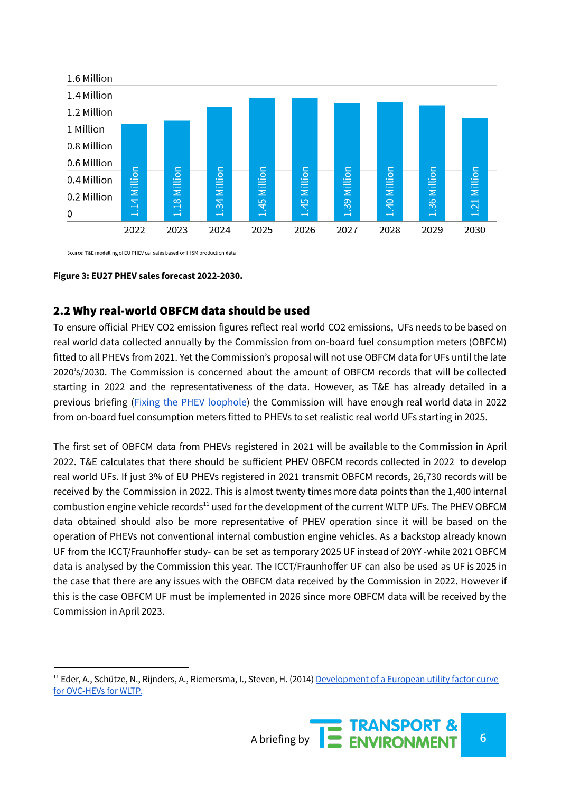

Source: T&E modelling of EU PHEV car sales based on IHSM production data

#### **Figure 3: EU27 PHEV sales forecast 2022-2030.**

#### 2.2 Why real-world OBFCM data should be used

To ensure official PHEV CO2 emission figures reflect real world CO2 emissions, UFs needs to be based on real world data collected annually by the Commission from on-board fuel consumption meters (OBFCM) fitted to all PHEVs from 2021. Yet the Commission's proposal will not use OBFCM data for UFs until the late 2020's/2030. The Commission is concerned about the amount of OBFCM records that will be collected starting in 2022 and the representativeness of the data. However, as T&E has already detailed in a previous briefing (Fixing the PHEV [loophole](https://www.transportenvironment.org/discover/fixing-the-phev-loophole/)) the Commission will have enough real world data in 2022 from on-board fuel consumption meters fitted to PHEVs to set realistic real world UFs starting in 2025.

The first set of OBFCM data from PHEVs registered in 2021 will be available to the Commission in April 2022. T&E calculates that there should be sufficient PHEV OBFCM records collected in 2022 to develop real world UFs. If just 3% of EU PHEVs registered in 2021 transmit OBFCM records, 26,730 records will be received by the Commission in 2022. This is almost twenty times more data points than the 1,400 internal combustion engine vehicle records<sup>11</sup> used for the development of the current WLTP UFs. The PHEV OBFCM data obtained should also be more representative of PHEV operation since it will be based on the operation of PHEVs not conventional internal combustion engine vehicles. As a backstop already known UF from the ICCT/Fraunhoffer study- can be set as temporary 2025 UF instead of 20YY -while 2021 OBFCM data is analysed by the Commission this year. The ICCT/Fraunhoffer UF can also be used as UF is 2025 in the case that there are any issues with the OBFCM data received by the Commission in 2022. However if this is the case OBFCM UF must be implemented in 2026 since more OBFCM data will be received by the Commission in April 2023.

<sup>&</sup>lt;sup>11</sup> Eder, A., Schütze, N., Rijnders, A., Riemersma, I., Steven, H. (2014) [Development](https://www.semanticscholar.org/paper/Development-of-a-European-Utility-Factor-Curve-for-Eder-Sch%C3%BCtze/43c14fdcc241d8f50084ce4bf80cc336ed9bf07b) of a European utility factor curve for [OVC-HEVs](https://www.semanticscholar.org/paper/Development-of-a-European-Utility-Factor-Curve-for-Eder-Sch%C3%BCtze/43c14fdcc241d8f50084ce4bf80cc336ed9bf07b) for WLTP.

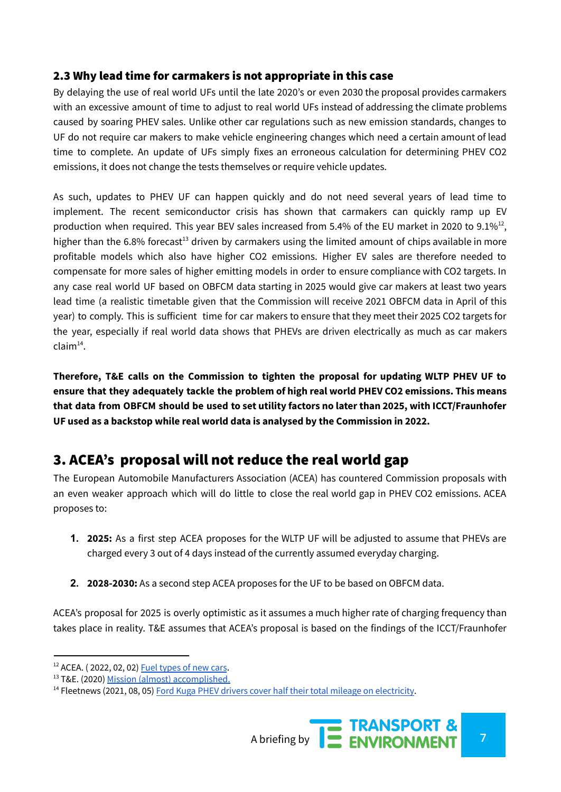#### 2.3 Why lead time for carmakers is not appropriate in this case

By delaying the use of real world UFs until the late 2020's or even 2030 the proposal provides carmakers with an excessive amount of time to adjust to real world UFs instead of addressing the climate problems caused by soaring PHEV sales. Unlike other car regulations such as new emission standards, changes to UF do not require car makers to make vehicle engineering changes which need a certain amount of lead time to complete. An update of UFs simply fixes an erroneous calculation for determining PHEV CO2 emissions, it does not change the tests themselves or require vehicle updates.

As such, updates to PHEV UF can happen quickly and do not need several years of lead time to implement. The recent semiconductor crisis has shown that carmakers can quickly ramp up EV production when required. This year BEV sales increased from 5.4% of the EU market in 2020 to 9.1%<sup>12</sup>, higher than the 6.8% forecast<sup>13</sup> driven by carmakers using the limited amount of chips available in more profitable models which also have higher CO2 emissions. Higher EV sales are therefore needed to compensate for more sales of higher emitting models in order to ensure compliance with CO2 targets. In any case real world UF based on OBFCM data starting in 2025 would give car makers at least two years lead time (a realistic timetable given that the Commission will receive 2021 OBFCM data in April of this year) to comply. This is sufficient time for car makers to ensure that they meet their 2025 CO2 targets for the year, especially if real world data shows that PHEVs are driven electrically as much as car makers claim 14 .

**Therefore, T&E calls on the Commission to tighten the proposal for updating WLTP PHEV UF to ensure that they adequately tackle the problem of high real world PHEV CO2 emissions. This means that data from OBFCM should be used to set utility factors no later than 2025, with ICCT/Fraunhofer UF used as a backstop while real world data is analysed by the Commission in 2022.**

# 3. ACEA's proposal will not reduce the real world gap

The European Automobile Manufacturers Association (ACEA) has countered Commission proposals with an even weaker approach which will do little to close the real world gap in PHEV CO2 emissions. ACEA proposes to:

- **1. 2025:** As a first step ACEA proposes for the WLTP UF will be adjusted to assume that PHEVs are charged every 3 out of 4 days instead of the currently assumed everyday charging.
- **2. 2028-2030:** As a second step ACEA proposes for the UF to be based on OBFCM data.

ACEA's proposal for 2025 is overly optimistic as it assumes a much higher rate of charging frequency than takes place in reality. T&E assumes that ACEA's proposal is based on the findings of the ICCT/Fraunhofer

<sup>&</sup>lt;sup>14</sup> Fleetnews (2021, 08, 05) Ford Kuga PHEV drivers cover half their total mileage on [electricity](https://www.fleetnews.co.uk/news/latest-fleet-news/electric-fleet-news/2021/08/05/ford-kuga-phev-drivers-cover-half-their-total-mileage-on-electric#:~:text=Ford%20Kuga%20plug%2Din%20hybrid,capability%20to%20a%20significant%20degree.).



 $12$  ACEA. (2022, 02, 02) Fuel [types](https://www.acea.auto/fuel-pc/fuel-types-of-new-cars-battery-electric-9-1-hybrid-19-6-and-petrol-40-0-market-share-full-year-2021/) of new cars.

<sup>&</sup>lt;sup>13</sup> T&E. (2020) Mission (almost) [accomplished.](https://www.transportenvironment.org/wp-content/uploads/2021/05/2020_10_TE_Car_CO2_report_final-1.pdf)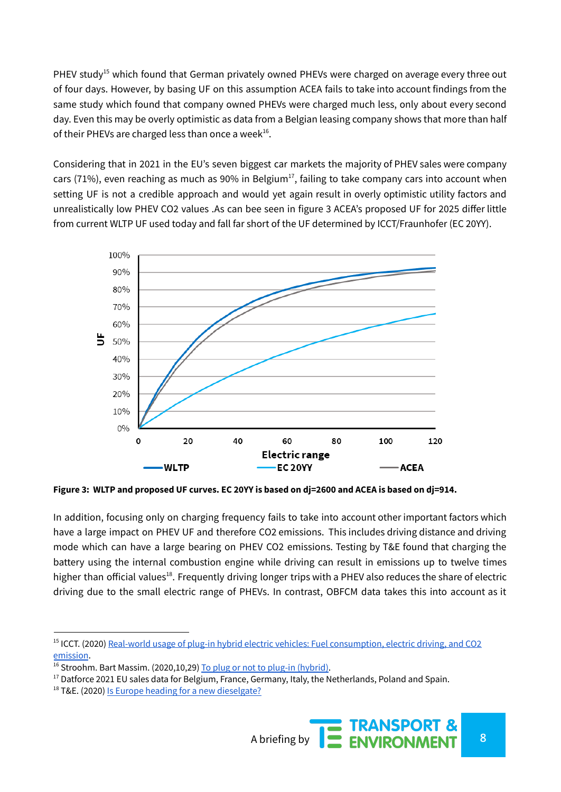PHEV study<sup>15</sup> which found that German privately owned PHEVs were charged on average every three out of four days. However, by basing UF on this assumption ACEA fails to take into account findings from the same study which found that company owned PHEVs were charged much less, only about every second day. Even this may be overly optimistic as data from a Belgian leasing company shows that more than half of their PHEVs are charged less than once a week<sup>16</sup>.

Considering that in 2021 in the EU's seven biggest car markets the majority of PHEV sales were company cars (71%), even reaching as much as 90% in Belgium<sup>17</sup>, failing to take company cars into account when setting UF is not a credible approach and would yet again result in overly optimistic utility factors and unrealistically low PHEV CO2 values .As can bee seen in figure 3 ACEA's proposed UF for 2025 differ little from current WLTP UF used today and fall far short of the UF determined by ICCT/Fraunhofer (EC 20YY).



Figure 3: WLTP and proposed UF curves. EC 20YY is based on dj=2600 and ACEA is based on dj=914.

In addition, focusing only on charging frequency fails to take into account other important factors which have a large impact on PHEV UF and therefore CO2 emissions. This includes driving distance and driving mode which can have a large bearing on PHEV CO2 emissions. Testing by T&E found that charging the battery using the internal combustion engine while driving can result in emissions up to twelve times higher than official values<sup>18</sup>. Frequently driving longer trips with a PHEV also reduces the share of electric driving due to the small electric range of PHEVs. In contrast, OBFCM data takes this into account as it

<sup>&</sup>lt;sup>15</sup> ICCT. (2020) Real-world usage of plug-in hybrid electric vehicles: Fuel [consumption,](https://theicct.org/publications/phev-real-world-usage-sept2020) electric driving, and CO2 [emission](https://theicct.org/publications/phev-real-world-usage-sept2020).

<sup>&</sup>lt;sup>16</sup> Stroohm. Bart Massim. (2020,10,29) To plug or not to plug-in [\(hybrid\)](https://stroohm.be/to-plug-or-not-to-plug-in-hybride/).

<sup>&</sup>lt;sup>17</sup> Datforce 2021 EU sales data for Belgium, France, Germany, Italy, the Netherlands, Poland and Spain.

<sup>&</sup>lt;sup>18</sup> T&E. (2020) Is Europe heading for a new [dieselgate?](https://www.transportenvironment.org/discover/plug-hybrids-europe-heading-new-dieselgate/)